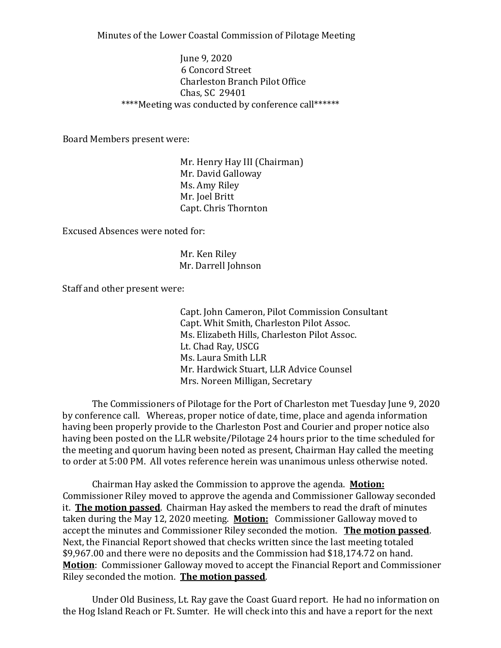Minutes of the Lower Coastal Commission of Pilotage Meeting

June 9, 2020 6 Concord Street Charleston Branch Pilot Office Chas, SC 29401 \*\*\*\*Meeting was conducted by conference call\*\*\*\*\*\*

Board Members present were:

Mr. Henry Hay III (Chairman) Mr. David Galloway Ms. Amy Riley Mr. Joel Britt Capt. Chris Thornton

Excused Absences were noted for:

Mr. Ken Riley Mr. Darrell Johnson

Staff and other present were:

Capt. John Cameron, Pilot Commission Consultant Capt. Whit Smith, Charleston Pilot Assoc. Ms. Elizabeth Hills, Charleston Pilot Assoc. Lt. Chad Ray, USCG Ms. Laura Smith LLR Mr. Hardwick Stuart, LLR Advice Counsel Mrs. Noreen Milligan, Secretary

The Commissioners of Pilotage for the Port of Charleston met Tuesday June 9, 2020 by conference call. Whereas, proper notice of date, time, place and agenda information having been properly provide to the Charleston Post and Courier and proper notice also having been posted on the LLR website/Pilotage 24 hours prior to the time scheduled for the meeting and quorum having been noted as present, Chairman Hay called the meeting to order at 5:00 PM. All votes reference herein was unanimous unless otherwise noted.

Chairman Hay asked the Commission to approve the agenda. **Motion:** Commissioner Riley moved to approve the agenda and Commissioner Galloway seconded it. **The motion passed**. Chairman Hay asked the members to read the draft of minutes taken during the May 12, 2020 meeting. **Motion:** Commissioner Galloway moved to accept the minutes and Commissioner Riley seconded the motion. **The motion passed**. Next, the Financial Report showed that checks written since the last meeting totaled \$9,967.00 and there were no deposits and the Commission had \$18,174.72 on hand. **Motion**: Commissioner Galloway moved to accept the Financial Report and Commissioner Riley seconded the motion. **The motion passed**.

Under Old Business, Lt. Ray gave the Coast Guard report. He had no information on the Hog Island Reach or Ft. Sumter. He will check into this and have a report for the next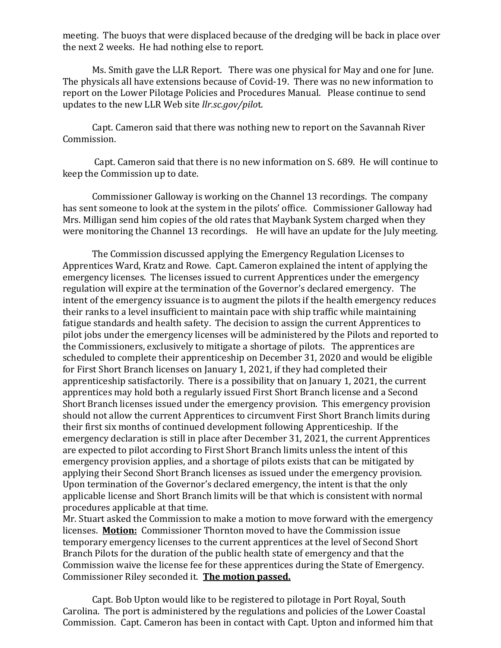meeting. The buoys that were displaced because of the dredging will be back in place over the next 2 weeks. He had nothing else to report.

Ms. Smith gave the LLR Report. There was one physical for May and one for June. The physicals all have extensions because of Covid-19. There was no new information to report on the Lower Pilotage Policies and Procedures Manual. Please continue to send updates to the new LLR Web site *llr.sc.gov/pilo*t.

Capt. Cameron said that there was nothing new to report on the Savannah River Commission.

Capt. Cameron said that there is no new information on S. 689. He will continue to keep the Commission up to date.

Commissioner Galloway is working on the Channel 13 recordings. The company has sent someone to look at the system in the pilots' office. Commissioner Galloway had Mrs. Milligan send him copies of the old rates that Maybank System charged when they were monitoring the Channel 13 recordings. He will have an update for the July meeting.

The Commission discussed applying the Emergency Regulation Licenses to Apprentices Ward, Kratz and Rowe. Capt. Cameron explained the intent of applying the emergency licenses. The licenses issued to current Apprentices under the emergency regulation will expire at the termination of the Governor's declared emergency. The intent of the emergency issuance is to augment the pilots if the health emergency reduces their ranks to a level insufficient to maintain pace with ship traffic while maintaining fatigue standards and health safety. The decision to assign the current Apprentices to pilot jobs under the emergency licenses will be administered by the Pilots and reported to the Commissioners, exclusively to mitigate a shortage of pilots. The apprentices are scheduled to complete their apprenticeship on December 31, 2020 and would be eligible for First Short Branch licenses on January 1, 2021, if they had completed their apprenticeship satisfactorily. There is a possibility that on January 1, 2021, the current apprentices may hold both a regularly issued First Short Branch license and a Second Short Branch licenses issued under the emergency provision. This emergency provision should not allow the current Apprentices to circumvent First Short Branch limits during their first six months of continued development following Apprenticeship. If the emergency declaration is still in place after December 31, 2021, the current Apprentices are expected to pilot according to First Short Branch limits unless the intent of this emergency provision applies, and a shortage of pilots exists that can be mitigated by applying their Second Short Branch licenses as issued under the emergency provision. Upon termination of the Governor's declared emergency, the intent is that the only applicable license and Short Branch limits will be that which is consistent with normal procedures applicable at that time.

Mr. Stuart asked the Commission to make a motion to move forward with the emergency licenses. **Motion:** Commissioner Thornton moved to have the Commission issue temporary emergency licenses to the current apprentices at the level of Second Short Branch Pilots for the duration of the public health state of emergency and that the Commission waive the license fee for these apprentices during the State of Emergency. Commissioner Riley seconded it. **The motion passed.**

Capt. Bob Upton would like to be registered to pilotage in Port Royal, South Carolina. The port is administered by the regulations and policies of the Lower Coastal Commission. Capt. Cameron has been in contact with Capt. Upton and informed him that